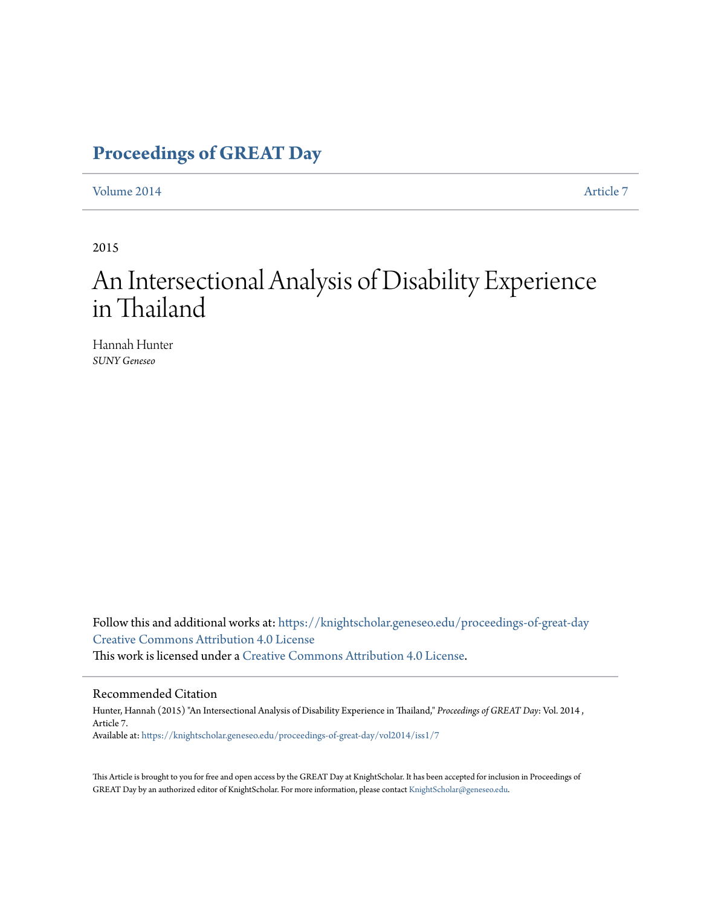# **[Proceedings of GREAT Day](https://knightscholar.geneseo.edu/proceedings-of-great-day?utm_source=knightscholar.geneseo.edu%2Fproceedings-of-great-day%2Fvol2014%2Fiss1%2F7&utm_medium=PDF&utm_campaign=PDFCoverPages)**

[Volume 2014](https://knightscholar.geneseo.edu/proceedings-of-great-day/vol2014?utm_source=knightscholar.geneseo.edu%2Fproceedings-of-great-day%2Fvol2014%2Fiss1%2F7&utm_medium=PDF&utm_campaign=PDFCoverPages) **[Article 7](https://knightscholar.geneseo.edu/proceedings-of-great-day/vol2014/iss1/7?utm_source=knightscholar.geneseo.edu%2Fproceedings-of-great-day%2Fvol2014%2Fiss1%2F7&utm_medium=PDF&utm_campaign=PDFCoverPages)** 

2015

# An Intersectional Analysis of Disability Experience in Thailand

Hannah Hunter *SUNY Geneseo*

Follow this and additional works at: [https://knightscholar.geneseo.edu/proceedings-of-great-day](https://knightscholar.geneseo.edu/proceedings-of-great-day?utm_source=knightscholar.geneseo.edu%2Fproceedings-of-great-day%2Fvol2014%2Fiss1%2F7&utm_medium=PDF&utm_campaign=PDFCoverPages) [Creative Commons Attribution 4.0 License](http://creativecommons.org/licenses/by/4.0/) This work is licensed under a [Creative Commons Attribution 4.0 License.](http://creativecommons.org/licenses/by/4.0/)

#### Recommended Citation

Hunter, Hannah (2015) "An Intersectional Analysis of Disability Experience in Thailand," *Proceedings of GREAT Day*: Vol. 2014 , Article 7. Available at: [https://knightscholar.geneseo.edu/proceedings-of-great-day/vol2014/iss1/7](https://knightscholar.geneseo.edu/proceedings-of-great-day/vol2014/iss1/7?utm_source=knightscholar.geneseo.edu%2Fproceedings-of-great-day%2Fvol2014%2Fiss1%2F7&utm_medium=PDF&utm_campaign=PDFCoverPages)

This Article is brought to you for free and open access by the GREAT Day at KnightScholar. It has been accepted for inclusion in Proceedings of GREAT Day by an authorized editor of KnightScholar. For more information, please contact [KnightScholar@geneseo.edu.](mailto:KnightScholar@geneseo.edu)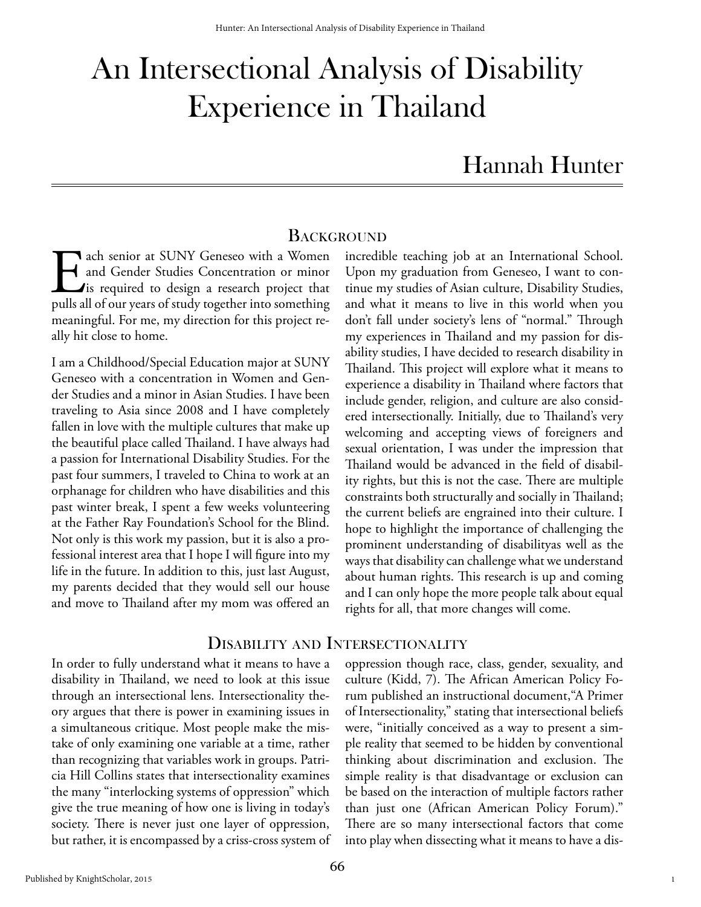# An Intersectional Analysis of Disability Experience in Thailand

# Hannah Hunter

### **BACKGROUND**

The senior at SUNY Geneseo with a Women<br>and Gender Studies Concentration or minor<br>is required to design a research project that<br>pulls all of our years of study together into something and Gender Studies Concentration or minor  $\blacktriangle$  is required to design a research project that pulls all of our years of study together into something meaningful. For me, my direction for this project really hit close to home.

I am a Childhood/Special Education major at SUNY Geneseo with a concentration in Women and Gender Studies and a minor in Asian Studies. I have been traveling to Asia since 2008 and I have completely fallen in love with the multiple cultures that make up the beautiful place called Thailand. I have always had a passion for International Disability Studies. For the past four summers, I traveled to China to work at an orphanage for children who have disabilities and this past winter break, I spent a few weeks volunteering at the Father Ray Foundation's School for the Blind. Not only is this work my passion, but it is also a professional interest area that I hope I will figure into my life in the future. In addition to this, just last August, my parents decided that they would sell our house and move to Thailand after my mom was offered an

Upon my graduation from Geneseo, I want to continue my studies of Asian culture, Disability Studies, and what it means to live in this world when you don't fall under society's lens of "normal." Through my experiences in Thailand and my passion for disability studies, I have decided to research disability in Thailand. This project will explore what it means to experience a disability in Thailand where factors that include gender, religion, and culture are also considered intersectionally. Initially, due to Thailand's very welcoming and accepting views of foreigners and sexual orientation, I was under the impression that Thailand would be advanced in the field of disability rights, but this is not the case. There are multiple constraints both structurally and socially in Thailand; the current beliefs are engrained into their culture. I hope to highlight the importance of challenging the prominent understanding of disabilityas well as the ways that disability can challenge what we understand about human rights. This research is up and coming and I can only hope the more people talk about equal rights for all, that more changes will come.

incredible teaching job at an International School.

# Disability and Intersectionality

In order to fully understand what it means to have a disability in Thailand, we need to look at this issue through an intersectional lens. Intersectionality theory argues that there is power in examining issues in a simultaneous critique. Most people make the mistake of only examining one variable at a time, rather than recognizing that variables work in groups. Patricia Hill Collins states that intersectionality examines the many "interlocking systems of oppression" which give the true meaning of how one is living in today's society. There is never just one layer of oppression, but rather, it is encompassed by a criss-cross system of oppression though race, class, gender, sexuality, and culture (Kidd, 7). The African American Policy Forum published an instructional document,"A Primer of Intersectionality," stating that intersectional beliefs were, "initially conceived as a way to present a simple reality that seemed to be hidden by conventional thinking about discrimination and exclusion. The simple reality is that disadvantage or exclusion can be based on the interaction of multiple factors rather than just one (African American Policy Forum)." There are so many intersectional factors that come into play when dissecting what it means to have a dis-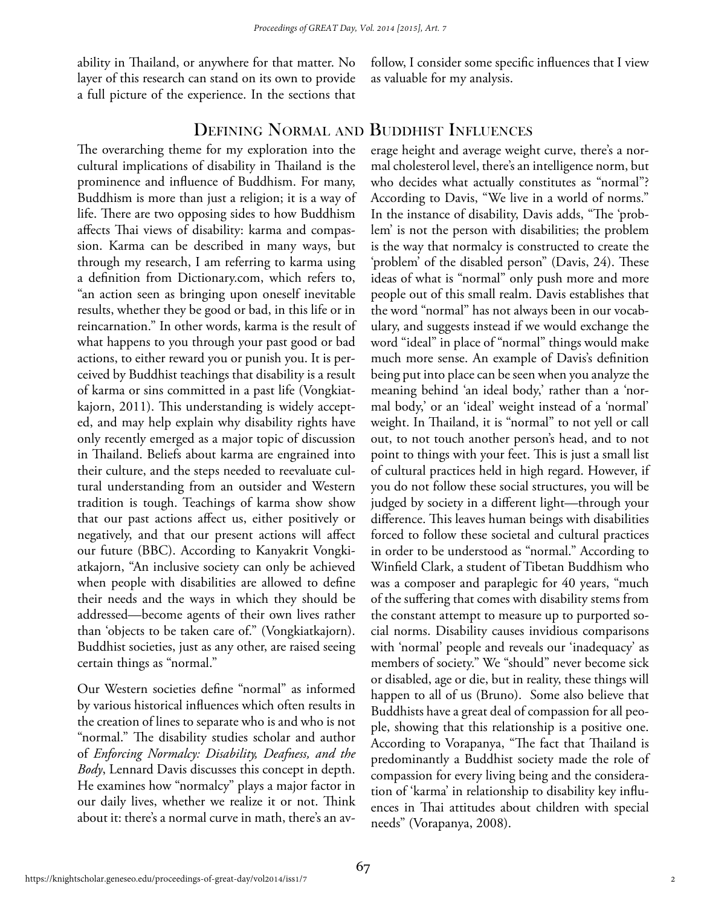ability in Thailand, or anywhere for that matter. No layer of this research can stand on its own to provide a full picture of the experience. In the sections that follow, I consider some specific influences that I view as valuable for my analysis.

# Defining Normal and Buddhist Influences

The overarching theme for my exploration into the cultural implications of disability in Thailand is the prominence and influence of Buddhism. For many, Buddhism is more than just a religion; it is a way of life. There are two opposing sides to how Buddhism affects Thai views of disability: karma and compassion. Karma can be described in many ways, but through my research, I am referring to karma using a definition from Dictionary.com, which refers to, "an action seen as bringing upon oneself inevitable results, whether they be good or bad, in this life or in reincarnation." In other words, karma is the result of what happens to you through your past good or bad actions, to either reward you or punish you. It is perceived by Buddhist teachings that disability is a result of karma or sins committed in a past life (Vongkiatkajorn, 2011). This understanding is widely accepted, and may help explain why disability rights have only recently emerged as a major topic of discussion in Thailand. Beliefs about karma are engrained into their culture, and the steps needed to reevaluate cultural understanding from an outsider and Western tradition is tough. Teachings of karma show show that our past actions affect us, either positively or negatively, and that our present actions will affect our future (BBC). According to Kanyakrit Vongkiatkajorn, "An inclusive society can only be achieved when people with disabilities are allowed to define their needs and the ways in which they should be addressed—become agents of their own lives rather than 'objects to be taken care of." (Vongkiatkajorn). Buddhist societies, just as any other, are raised seeing certain things as "normal."

Our Western societies define "normal" as informed by various historical influences which often results in the creation of lines to separate who is and who is not "normal." The disability studies scholar and author of *Enforcing Normalcy: Disability, Deafness, and the Body*, Lennard Davis discusses this concept in depth. He examines how "normalcy" plays a major factor in our daily lives, whether we realize it or not. Think about it: there's a normal curve in math, there's an av-

erage height and average weight curve, there's a normal cholesterol level, there's an intelligence norm, but who decides what actually constitutes as "normal"? According to Davis, "We live in a world of norms." In the instance of disability, Davis adds, "The 'problem' is not the person with disabilities; the problem is the way that normalcy is constructed to create the 'problem' of the disabled person" (Davis, 24). These ideas of what is "normal" only push more and more people out of this small realm. Davis establishes that the word "normal" has not always been in our vocabulary, and suggests instead if we would exchange the word "ideal" in place of "normal" things would make much more sense. An example of Davis's definition being put into place can be seen when you analyze the meaning behind 'an ideal body,' rather than a 'normal body,' or an 'ideal' weight instead of a 'normal' weight. In Thailand, it is "normal" to not yell or call out, to not touch another person's head, and to not point to things with your feet. This is just a small list of cultural practices held in high regard. However, if you do not follow these social structures, you will be judged by society in a different light—through your difference. This leaves human beings with disabilities forced to follow these societal and cultural practices in order to be understood as "normal." According to Winfield Clark, a student of Tibetan Buddhism who was a composer and paraplegic for 40 years, "much of the suffering that comes with disability stems from the constant attempt to measure up to purported social norms. Disability causes invidious comparisons with 'normal' people and reveals our 'inadequacy' as members of society." We "should" never become sick or disabled, age or die, but in reality, these things will happen to all of us (Bruno). Some also believe that Buddhists have a great deal of compassion for all people, showing that this relationship is a positive one. According to Vorapanya, "The fact that Thailand is predominantly a Buddhist society made the role of compassion for every living being and the consideration of 'karma' in relationship to disability key influences in Thai attitudes about children with special needs" (Vorapanya, 2008).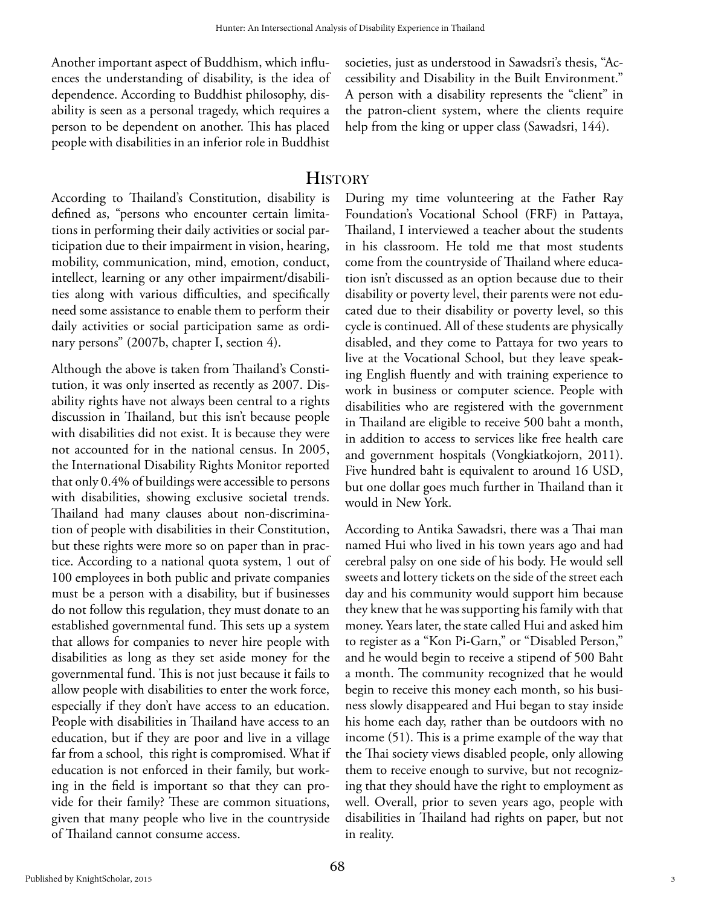Another important aspect of Buddhism, which influences the understanding of disability, is the idea of dependence. According to Buddhist philosophy, disability is seen as a personal tragedy, which requires a person to be dependent on another. This has placed people with disabilities in an inferior role in Buddhist

societies, just as understood in Sawadsri's thesis, "Accessibility and Disability in the Built Environment." A person with a disability represents the "client" in the patron-client system, where the clients require help from the king or upper class (Sawadsri, 144).

### **HISTORY**

According to Thailand's Constitution, disability is defined as, "persons who encounter certain limitations in performing their daily activities or social participation due to their impairment in vision, hearing, mobility, communication, mind, emotion, conduct, intellect, learning or any other impairment/disabilities along with various difficulties, and specifically need some assistance to enable them to perform their daily activities or social participation same as ordinary persons" (2007b, chapter I, section 4).

Although the above is taken from Thailand's Constitution, it was only inserted as recently as 2007. Disability rights have not always been central to a rights discussion in Thailand, but this isn't because people with disabilities did not exist. It is because they were not accounted for in the national census. In 2005, the International Disability Rights Monitor reported that only 0.4% of buildings were accessible to persons with disabilities, showing exclusive societal trends. Thailand had many clauses about non-discrimination of people with disabilities in their Constitution, but these rights were more so on paper than in practice. According to a national quota system, 1 out of 100 employees in both public and private companies must be a person with a disability, but if businesses do not follow this regulation, they must donate to an established governmental fund. This sets up a system that allows for companies to never hire people with disabilities as long as they set aside money for the governmental fund. This is not just because it fails to allow people with disabilities to enter the work force, especially if they don't have access to an education. People with disabilities in Thailand have access to an education, but if they are poor and live in a village far from a school, this right is compromised. What if education is not enforced in their family, but working in the field is important so that they can provide for their family? These are common situations, given that many people who live in the countryside of Thailand cannot consume access.

During my time volunteering at the Father Ray Foundation's Vocational School (FRF) in Pattaya, Thailand, I interviewed a teacher about the students in his classroom. He told me that most students come from the countryside of Thailand where education isn't discussed as an option because due to their disability or poverty level, their parents were not educated due to their disability or poverty level, so this cycle is continued. All of these students are physically disabled, and they come to Pattaya for two years to live at the Vocational School, but they leave speaking English fluently and with training experience to work in business or computer science. People with disabilities who are registered with the government in Thailand are eligible to receive 500 baht a month, in addition to access to services like free health care and government hospitals (Vongkiatkojorn, 2011). Five hundred baht is equivalent to around 16 USD, but one dollar goes much further in Thailand than it would in New York.

According to Antika Sawadsri, there was a Thai man named Hui who lived in his town years ago and had cerebral palsy on one side of his body. He would sell sweets and lottery tickets on the side of the street each day and his community would support him because they knew that he was supporting his family with that money. Years later, the state called Hui and asked him to register as a "Kon Pi-Garn," or "Disabled Person," and he would begin to receive a stipend of 500 Baht a month. The community recognized that he would begin to receive this money each month, so his business slowly disappeared and Hui began to stay inside his home each day, rather than be outdoors with no income (51). This is a prime example of the way that the Thai society views disabled people, only allowing them to receive enough to survive, but not recognizing that they should have the right to employment as well. Overall, prior to seven years ago, people with disabilities in Thailand had rights on paper, but not in reality.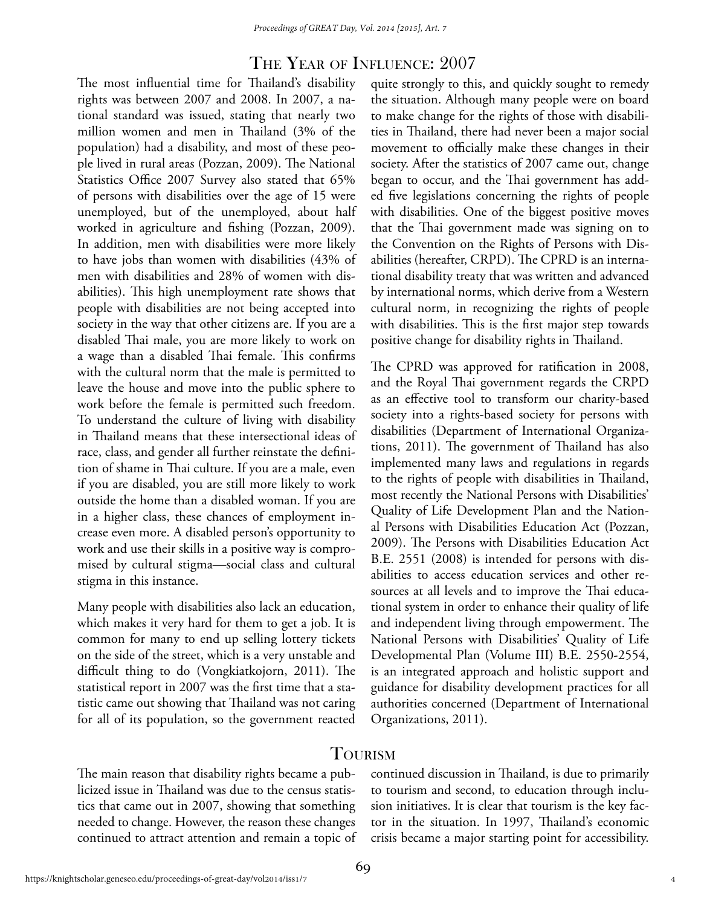#### The Year of Influence: 2007

The most influential time for Thailand's disability rights was between 2007 and 2008. In 2007, a national standard was issued, stating that nearly two million women and men in Thailand (3% of the population) had a disability, and most of these people lived in rural areas (Pozzan, 2009). The National Statistics Office 2007 Survey also stated that 65% of persons with disabilities over the age of 15 were unemployed, but of the unemployed, about half worked in agriculture and fishing (Pozzan, 2009). In addition, men with disabilities were more likely to have jobs than women with disabilities (43% of men with disabilities and 28% of women with disabilities). This high unemployment rate shows that people with disabilities are not being accepted into society in the way that other citizens are. If you are a disabled Thai male, you are more likely to work on a wage than a disabled Thai female. This confirms with the cultural norm that the male is permitted to leave the house and move into the public sphere to work before the female is permitted such freedom. To understand the culture of living with disability in Thailand means that these intersectional ideas of race, class, and gender all further reinstate the definition of shame in Thai culture. If you are a male, even if you are disabled, you are still more likely to work outside the home than a disabled woman. If you are in a higher class, these chances of employment increase even more. A disabled person's opportunity to work and use their skills in a positive way is compromised by cultural stigma—social class and cultural stigma in this instance.

Many people with disabilities also lack an education, which makes it very hard for them to get a job. It is common for many to end up selling lottery tickets on the side of the street, which is a very unstable and difficult thing to do (Vongkiatkojorn, 2011). The statistical report in 2007 was the first time that a statistic came out showing that Thailand was not caring for all of its population, so the government reacted

quite strongly to this, and quickly sought to remedy the situation. Although many people were on board to make change for the rights of those with disabilities in Thailand, there had never been a major social movement to officially make these changes in their society. After the statistics of 2007 came out, change began to occur, and the Thai government has added five legislations concerning the rights of people with disabilities. One of the biggest positive moves that the Thai government made was signing on to the Convention on the Rights of Persons with Disabilities (hereafter, CRPD). The CPRD is an international disability treaty that was written and advanced by international norms, which derive from a Western cultural norm, in recognizing the rights of people with disabilities. This is the first major step towards positive change for disability rights in Thailand.

The CPRD was approved for ratification in 2008, and the Royal Thai government regards the CRPD as an effective tool to transform our charity-based society into a rights-based society for persons with disabilities (Department of International Organizations, 2011). The government of Thailand has also implemented many laws and regulations in regards to the rights of people with disabilities in Thailand, most recently the National Persons with Disabilities' Quality of Life Development Plan and the National Persons with Disabilities Education Act (Pozzan, 2009). The Persons with Disabilities Education Act B.E. 2551 (2008) is intended for persons with disabilities to access education services and other resources at all levels and to improve the Thai educational system in order to enhance their quality of life and independent living through empowerment. The National Persons with Disabilities' Quality of Life Developmental Plan (Volume III) B.E. 2550-2554, is an integrated approach and holistic support and guidance for disability development practices for all authorities concerned (Department of International Organizations, 2011).

#### **TOURISM**

The main reason that disability rights became a publicized issue in Thailand was due to the census statistics that came out in 2007, showing that something needed to change. However, the reason these changes continued to attract attention and remain a topic of continued discussion in Thailand, is due to primarily to tourism and second, to education through inclusion initiatives. It is clear that tourism is the key factor in the situation. In 1997, Thailand's economic crisis became a major starting point for accessibility.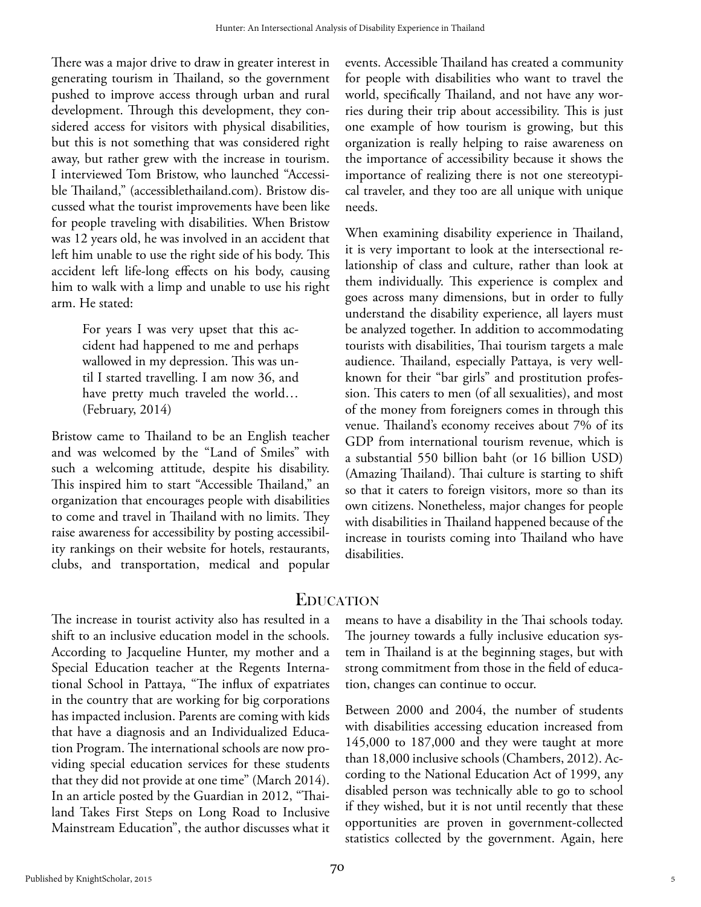There was a major drive to draw in greater interest in generating tourism in Thailand, so the government pushed to improve access through urban and rural development. Through this development, they considered access for visitors with physical disabilities, but this is not something that was considered right away, but rather grew with the increase in tourism. I interviewed Tom Bristow, who launched "Accessible Thailand," (accessiblethailand.com). Bristow discussed what the tourist improvements have been like for people traveling with disabilities. When Bristow was 12 years old, he was involved in an accident that left him unable to use the right side of his body. This accident left life-long effects on his body, causing him to walk with a limp and unable to use his right arm. He stated:

> For years I was very upset that this accident had happened to me and perhaps wallowed in my depression. This was until I started travelling. I am now 36, and have pretty much traveled the world… (February, 2014)

Bristow came to Thailand to be an English teacher and was welcomed by the "Land of Smiles" with such a welcoming attitude, despite his disability. This inspired him to start "Accessible Thailand," an organization that encourages people with disabilities to come and travel in Thailand with no limits. They raise awareness for accessibility by posting accessibility rankings on their website for hotels, restaurants, clubs, and transportation, medical and popular events. Accessible Thailand has created a community for people with disabilities who want to travel the world, specifically Thailand, and not have any worries during their trip about accessibility. This is just one example of how tourism is growing, but this organization is really helping to raise awareness on the importance of accessibility because it shows the importance of realizing there is not one stereotypical traveler, and they too are all unique with unique needs.

When examining disability experience in Thailand, it is very important to look at the intersectional relationship of class and culture, rather than look at them individually. This experience is complex and goes across many dimensions, but in order to fully understand the disability experience, all layers must be analyzed together. In addition to accommodating tourists with disabilities, Thai tourism targets a male audience. Thailand, especially Pattaya, is very wellknown for their "bar girls" and prostitution profession. This caters to men (of all sexualities), and most of the money from foreigners comes in through this venue. Thailand's economy receives about 7% of its GDP from international tourism revenue, which is a substantial 550 billion baht (or 16 billion USD) (Amazing Thailand). Thai culture is starting to shift so that it caters to foreign visitors, more so than its own citizens. Nonetheless, major changes for people with disabilities in Thailand happened because of the increase in tourists coming into Thailand who have disabilities.

# **EDUCATION**

The increase in tourist activity also has resulted in a shift to an inclusive education model in the schools. According to Jacqueline Hunter, my mother and a Special Education teacher at the Regents International School in Pattaya, "The influx of expatriates in the country that are working for big corporations has impacted inclusion. Parents are coming with kids that have a diagnosis and an Individualized Education Program. The international schools are now providing special education services for these students that they did not provide at one time" (March 2014). In an article posted by the Guardian in 2012, "Thailand Takes First Steps on Long Road to Inclusive Mainstream Education", the author discusses what it means to have a disability in the Thai schools today. The journey towards a fully inclusive education system in Thailand is at the beginning stages, but with strong commitment from those in the field of education, changes can continue to occur.

Between 2000 and 2004, the number of students with disabilities accessing education increased from 145,000 to 187,000 and they were taught at more than 18,000 inclusive schools (Chambers, 2012). According to the National Education Act of 1999, any disabled person was technically able to go to school if they wished, but it is not until recently that these opportunities are proven in government-collected statistics collected by the government. Again, here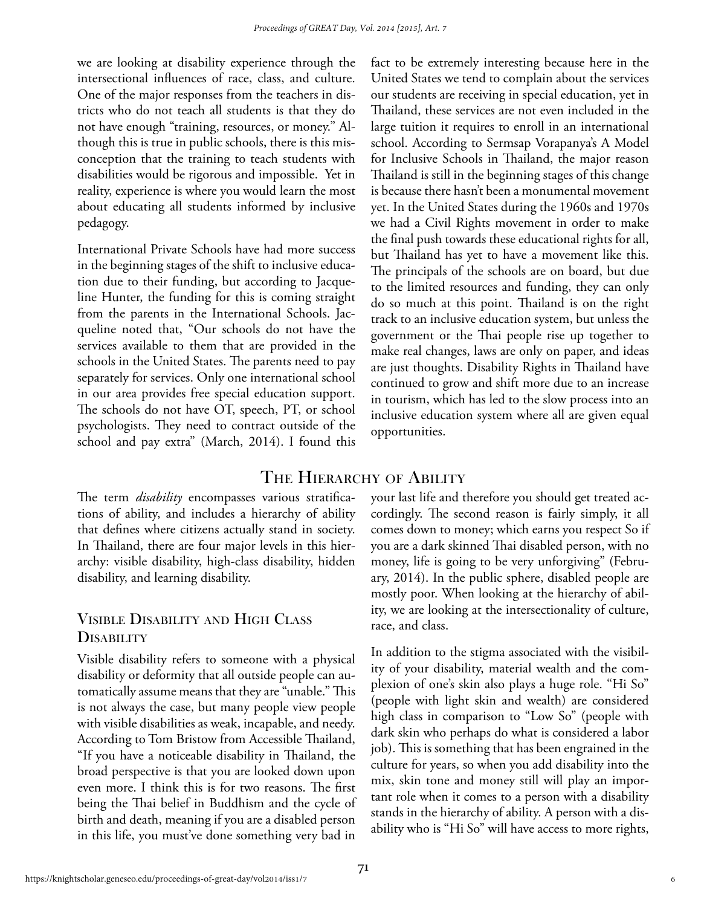we are looking at disability experience through the intersectional influences of race, class, and culture. One of the major responses from the teachers in districts who do not teach all students is that they do not have enough "training, resources, or money." Although this is true in public schools, there is this misconception that the training to teach students with disabilities would be rigorous and impossible. Yet in reality, experience is where you would learn the most about educating all students informed by inclusive pedagogy.

International Private Schools have had more success in the beginning stages of the shift to inclusive education due to their funding, but according to Jacqueline Hunter, the funding for this is coming straight from the parents in the International Schools. Jacqueline noted that, "Our schools do not have the services available to them that are provided in the schools in the United States. The parents need to pay separately for services. Only one international school in our area provides free special education support. The schools do not have OT, speech, PT, or school psychologists. They need to contract outside of the school and pay extra" (March, 2014). I found this fact to be extremely interesting because here in the United States we tend to complain about the services our students are receiving in special education, yet in Thailand, these services are not even included in the large tuition it requires to enroll in an international school. According to Sermsap Vorapanya's A Model for Inclusive Schools in Thailand, the major reason Thailand is still in the beginning stages of this change is because there hasn't been a monumental movement yet. In the United States during the 1960s and 1970s we had a Civil Rights movement in order to make the final push towards these educational rights for all, but Thailand has yet to have a movement like this. The principals of the schools are on board, but due to the limited resources and funding, they can only do so much at this point. Thailand is on the right track to an inclusive education system, but unless the government or the Thai people rise up together to make real changes, laws are only on paper, and ideas are just thoughts. Disability Rights in Thailand have continued to grow and shift more due to an increase in tourism, which has led to the slow process into an inclusive education system where all are given equal opportunities.

#### THE HIERARCHY OF ABILITY

The term *disability* encompasses various stratifications of ability, and includes a hierarchy of ability that defines where citizens actually stand in society. In Thailand, there are four major levels in this hierarchy: visible disability, high-class disability, hidden disability, and learning disability.

## Visible Disability and High Class **DISABILITY**

Visible disability refers to someone with a physical disability or deformity that all outside people can automatically assume means that they are "unable." This is not always the case, but many people view people with visible disabilities as weak, incapable, and needy. According to Tom Bristow from Accessible Thailand, "If you have a noticeable disability in Thailand, the broad perspective is that you are looked down upon even more. I think this is for two reasons. The first being the Thai belief in Buddhism and the cycle of birth and death, meaning if you are a disabled person in this life, you must've done something very bad in your last life and therefore you should get treated accordingly. The second reason is fairly simply, it all comes down to money; which earns you respect So if you are a dark skinned Thai disabled person, with no money, life is going to be very unforgiving" (February, 2014). In the public sphere, disabled people are mostly poor. When looking at the hierarchy of ability, we are looking at the intersectionality of culture, race, and class.

In addition to the stigma associated with the visibility of your disability, material wealth and the complexion of one's skin also plays a huge role. "Hi So" (people with light skin and wealth) are considered high class in comparison to "Low So" (people with dark skin who perhaps do what is considered a labor job). This is something that has been engrained in the culture for years, so when you add disability into the mix, skin tone and money still will play an important role when it comes to a person with a disability stands in the hierarchy of ability. A person with a disability who is "Hi So" will have access to more rights,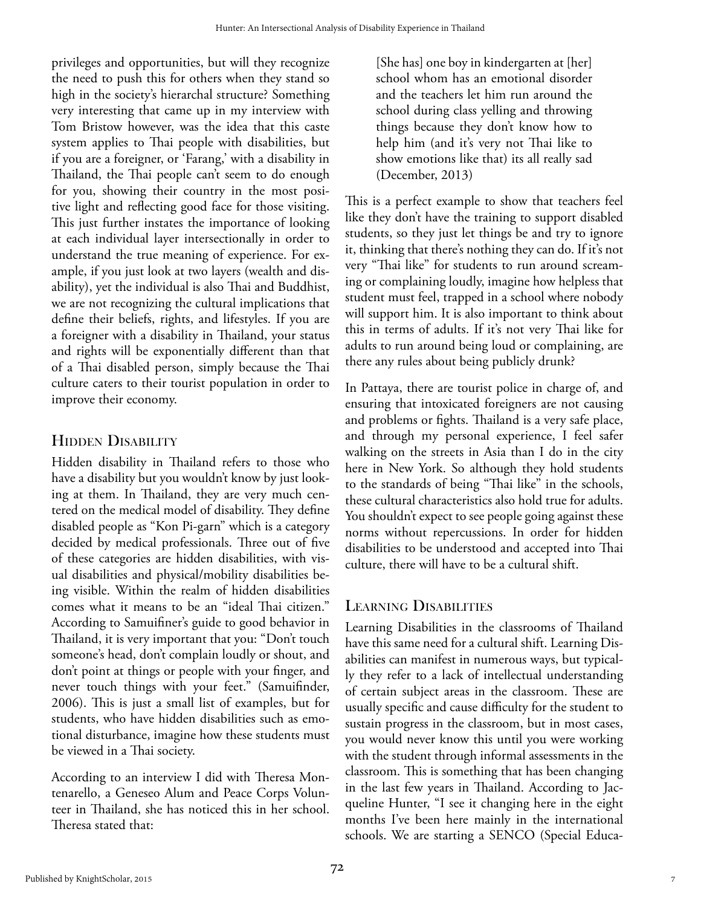privileges and opportunities, but will they recognize the need to push this for others when they stand so high in the society's hierarchal structure? Something very interesting that came up in my interview with Tom Bristow however, was the idea that this caste system applies to Thai people with disabilities, but if you are a foreigner, or 'Farang,' with a disability in Thailand, the Thai people can't seem to do enough for you, showing their country in the most positive light and reflecting good face for those visiting. This just further instates the importance of looking at each individual layer intersectionally in order to understand the true meaning of experience. For example, if you just look at two layers (wealth and disability), yet the individual is also Thai and Buddhist, we are not recognizing the cultural implications that define their beliefs, rights, and lifestyles. If you are a foreigner with a disability in Thailand, your status and rights will be exponentially different than that of a Thai disabled person, simply because the Thai culture caters to their tourist population in order to improve their economy.

## HIDDEN DISABILITY

Hidden disability in Thailand refers to those who have a disability but you wouldn't know by just looking at them. In Thailand, they are very much centered on the medical model of disability. They define disabled people as "Kon Pi-garn" which is a category decided by medical professionals. Three out of five of these categories are hidden disabilities, with visual disabilities and physical/mobility disabilities being visible. Within the realm of hidden disabilities comes what it means to be an "ideal Thai citizen." According to Samuifiner's guide to good behavior in Thailand, it is very important that you: "Don't touch someone's head, don't complain loudly or shout, and don't point at things or people with your finger, and never touch things with your feet." (Samuifinder, 2006). This is just a small list of examples, but for students, who have hidden disabilities such as emotional disturbance, imagine how these students must be viewed in a Thai society.

According to an interview I did with Theresa Montenarello, a Geneseo Alum and Peace Corps Volunteer in Thailand, she has noticed this in her school. Theresa stated that:

[She has] one boy in kindergarten at [her] school whom has an emotional disorder and the teachers let him run around the school during class yelling and throwing things because they don't know how to help him (and it's very not Thai like to show emotions like that) its all really sad (December, 2013)

This is a perfect example to show that teachers feel like they don't have the training to support disabled students, so they just let things be and try to ignore it, thinking that there's nothing they can do. If it's not very "Thai like" for students to run around screaming or complaining loudly, imagine how helpless that student must feel, trapped in a school where nobody will support him. It is also important to think about this in terms of adults. If it's not very Thai like for adults to run around being loud or complaining, are there any rules about being publicly drunk?

In Pattaya, there are tourist police in charge of, and ensuring that intoxicated foreigners are not causing and problems or fights. Thailand is a very safe place, and through my personal experience, I feel safer walking on the streets in Asia than I do in the city here in New York. So although they hold students to the standards of being "Thai like" in the schools, these cultural characteristics also hold true for adults. You shouldn't expect to see people going against these norms without repercussions. In order for hidden disabilities to be understood and accepted into Thai culture, there will have to be a cultural shift.

## Learning Disabilities

Learning Disabilities in the classrooms of Thailand have this same need for a cultural shift. Learning Disabilities can manifest in numerous ways, but typically they refer to a lack of intellectual understanding of certain subject areas in the classroom. These are usually specific and cause difficulty for the student to sustain progress in the classroom, but in most cases, you would never know this until you were working with the student through informal assessments in the classroom. This is something that has been changing in the last few years in Thailand. According to Jacqueline Hunter, "I see it changing here in the eight months I've been here mainly in the international schools. We are starting a SENCO (Special Educa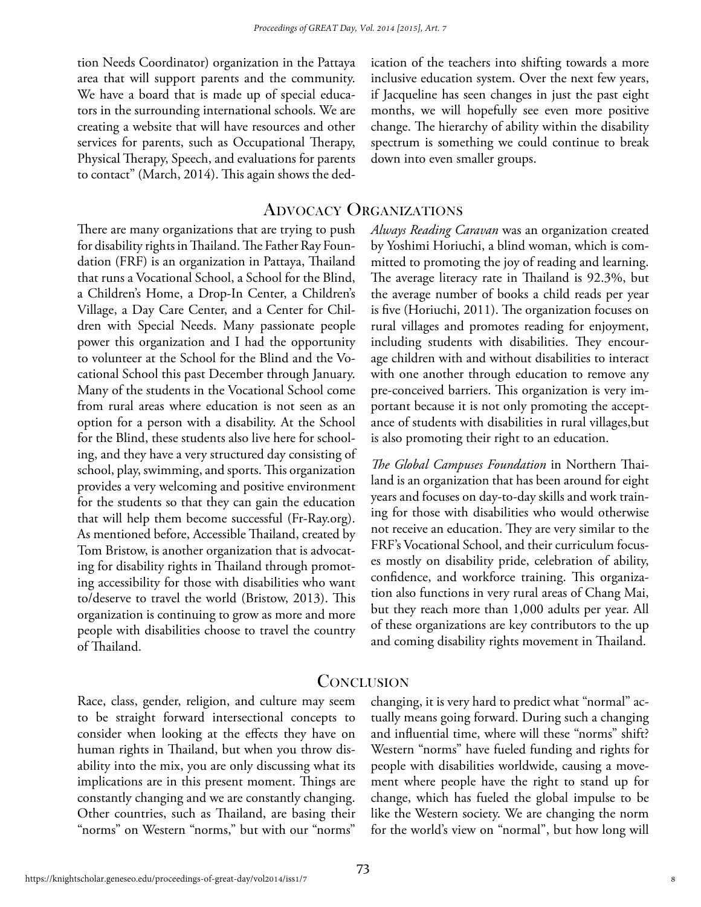tion Needs Coordinator) organization in the Pattaya area that will support parents and the community. We have a board that is made up of special educators in the surrounding international schools. We are creating a website that will have resources and other services for parents, such as Occupational Therapy, Physical Therapy, Speech, and evaluations for parents to contact" (March, 2014). This again shows the dedication of the teachers into shifting towards a more inclusive education system. Over the next few years, if Jacqueline has seen changes in just the past eight months, we will hopefully see even more positive change. The hierarchy of ability within the disability spectrum is something we could continue to break down into even smaller groups.

#### Advocacy Organizations

There are many organizations that are trying to push for disability rights in Thailand. The Father Ray Foundation (FRF) is an organization in Pattaya, Thailand that runs a Vocational School, a School for the Blind, a Children's Home, a Drop-In Center, a Children's Village, a Day Care Center, and a Center for Children with Special Needs. Many passionate people power this organization and I had the opportunity to volunteer at the School for the Blind and the Vocational School this past December through January. Many of the students in the Vocational School come from rural areas where education is not seen as an option for a person with a disability. At the School for the Blind, these students also live here for schooling, and they have a very structured day consisting of school, play, swimming, and sports. This organization provides a very welcoming and positive environment for the students so that they can gain the education that will help them become successful (Fr-Ray.org). As mentioned before, Accessible Thailand, created by Tom Bristow, is another organization that is advocating for disability rights in Thailand through promoting accessibility for those with disabilities who want to/deserve to travel the world (Bristow, 2013). This organization is continuing to grow as more and more people with disabilities choose to travel the country of Thailand.

*Always Reading Caravan* was an organization created by Yoshimi Horiuchi, a blind woman, which is committed to promoting the joy of reading and learning. The average literacy rate in Thailand is 92.3%, but the average number of books a child reads per year is five (Horiuchi, 2011). The organization focuses on rural villages and promotes reading for enjoyment, including students with disabilities. They encourage children with and without disabilities to interact with one another through education to remove any pre-conceived barriers. This organization is very important because it is not only promoting the acceptance of students with disabilities in rural villages,but is also promoting their right to an education.

*The Global Campuses Foundation* in Northern Thailand is an organization that has been around for eight years and focuses on day-to-day skills and work training for those with disabilities who would otherwise not receive an education. They are very similar to the FRF's Vocational School, and their curriculum focuses mostly on disability pride, celebration of ability, confidence, and workforce training. This organization also functions in very rural areas of Chang Mai, but they reach more than 1,000 adults per year. All of these organizations are key contributors to the up and coming disability rights movement in Thailand.

#### **CONCLUSION**

Race, class, gender, religion, and culture may seem to be straight forward intersectional concepts to consider when looking at the effects they have on human rights in Thailand, but when you throw disability into the mix, you are only discussing what its implications are in this present moment. Things are constantly changing and we are constantly changing. Other countries, such as Thailand, are basing their "norms" on Western "norms," but with our "norms"

changing, it is very hard to predict what "normal" actually means going forward. During such a changing and influential time, where will these "norms" shift? Western "norms" have fueled funding and rights for people with disabilities worldwide, causing a movement where people have the right to stand up for change, which has fueled the global impulse to be like the Western society. We are changing the norm for the world's view on "normal", but how long will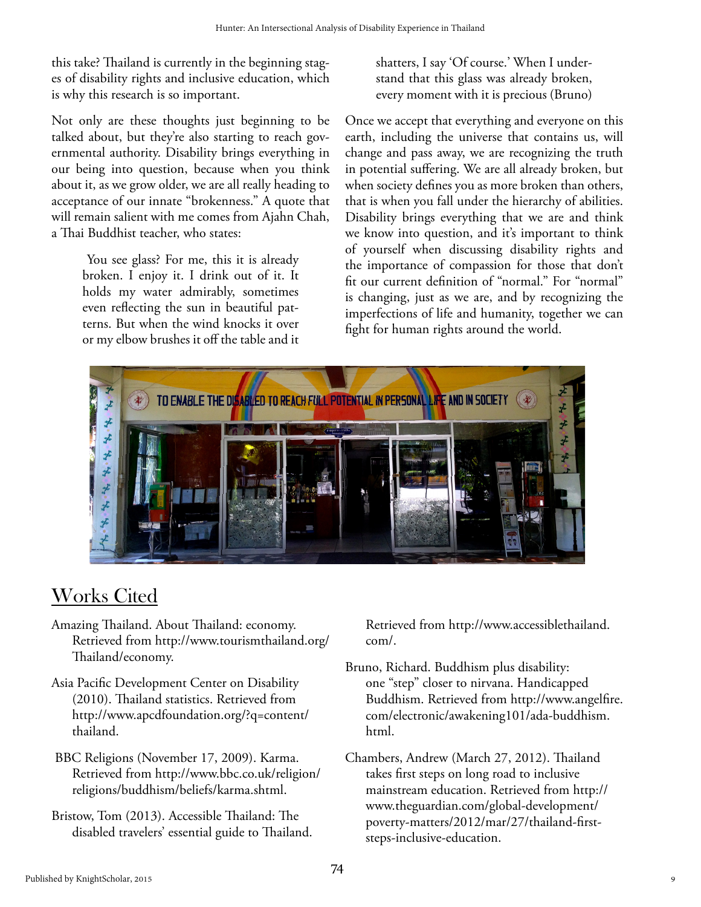this take? Thailand is currently in the beginning stages of disability rights and inclusive education, which is why this research is so important.

Not only are these thoughts just beginning to be talked about, but they're also starting to reach governmental authority. Disability brings everything in our being into question, because when you think about it, as we grow older, we are all really heading to acceptance of our innate "brokenness." A quote that will remain salient with me comes from Ajahn Chah, a Thai Buddhist teacher, who states:

> You see glass? For me, this it is already broken. I enjoy it. I drink out of it. It holds my water admirably, sometimes even reflecting the sun in beautiful patterns. But when the wind knocks it over or my elbow brushes it off the table and it

shatters, I say 'Of course.' When I understand that this glass was already broken, every moment with it is precious (Bruno)

Once we accept that everything and everyone on this earth, including the universe that contains us, will change and pass away, we are recognizing the truth in potential suffering. We are all already broken, but when society defines you as more broken than others, that is when you fall under the hierarchy of abilities. Disability brings everything that we are and think we know into question, and it's important to think of yourself when discussing disability rights and the importance of compassion for those that don't fit our current definition of "normal." For "normal" is changing, just as we are, and by recognizing the imperfections of life and humanity, together we can fight for human rights around the world.



# Works Cited

- Amazing Thailand. About Thailand: economy. Retrieved from http://www.tourismthailand.org/ Thailand/economy.
- Asia Pacific Development Center on Disability (2010). Thailand statistics. Retrieved from http://www.apcdfoundation.org/?q=content/ thailand.
- BBC Religions (November 17, 2009). Karma. Retrieved from http://www.bbc.co.uk/religion/ religions/buddhism/beliefs/karma.shtml.
- Bristow, Tom (2013). Accessible Thailand: The disabled travelers' essential guide to Thailand.

Retrieved from http://www.accessiblethailand. com/.

- Bruno, Richard. Buddhism plus disability: one "step" closer to nirvana. Handicapped Buddhism. Retrieved from http://www.angelfire. com/electronic/awakening101/ada-buddhism. html.
- Chambers, Andrew (March 27, 2012). Thailand takes first steps on long road to inclusive mainstream education. Retrieved from http:// www.theguardian.com/global-development/ poverty-matters/2012/mar/27/thailand-firststeps-inclusive-education.